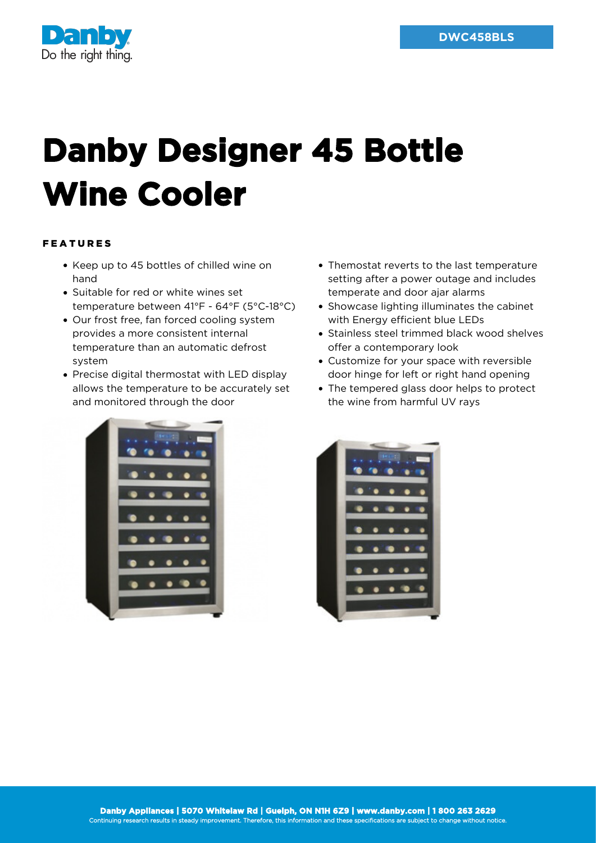

## **Danby Designer 45 Bottle Wine Cooler**

## FEATURES

- Keep up to 45 bottles of chilled wine on hand
- Suitable for red or white wines set temperature between 41°F - 64°F (5°C-18°C)
- Our frost free, fan forced cooling system provides a more consistent internal temperature than an automatic defrost system
- Precise digital thermostat with LED display allows the temperature to be accurately set and monitored through the door
- Themostat reverts to the last temperature setting after a power outage and includes temperate and door ajar alarms
- Showcase lighting illuminates the cabinet with Energy efficient blue LEDs
- Stainless steel trimmed black wood shelves offer a contemporary look
- Customize for your space with reversible door hinge for left or right hand opening
- The tempered glass door helps to protect the wine from harmful UV rays